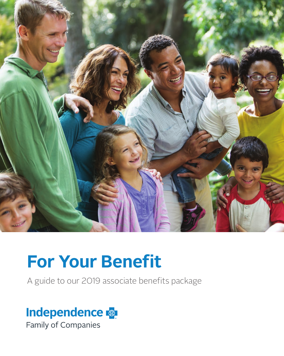

# **For Your Benefit**

A guide to our 2019 associate benefits package

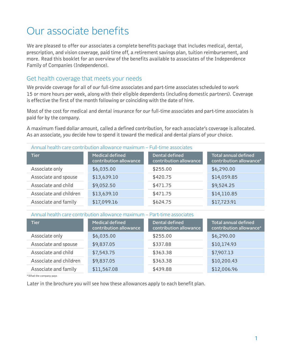# Our associate benefits

We are pleased to offer our associates a complete benefits package that includes medical, dental, prescription, and vision coverage, paid time off, a retirement savings plan, tuition reimbursement, and more. Read this booklet for an overview of the benefits available to associates of the Independence Family of Companies (Independence).

### Get health coverage that meets your needs

We provide coverage for all of our full-time associates and part-time associates scheduled to work 15 or more hours per week, along with their eligible dependents (including domestic partners). Coverage is effective the first of the month following or coinciding with the date of hire.

Most of the cost for medical and dental insurance for our full-time associates and part-time associates is paid for by the company.

A maximum fixed dollar amount, called a defined contribution, for each associate's coverage is allocated. As an associate, you decide how to spend it toward the medical and dental plans of your choice.

| <b>Tier</b>            | <b>Medical defined</b> | <b>Dental defined</b>  | Annual health care contribution allowance maximum – Full-time associates<br><b>Total annual defined</b> |  |  |
|------------------------|------------------------|------------------------|---------------------------------------------------------------------------------------------------------|--|--|
|                        | contribution allowance | contribution allowance | contribution allowance*                                                                                 |  |  |
| Associate only         | \$6,035.00             | \$255.00               | \$6,290.00                                                                                              |  |  |
| Associate and spouse   | \$13,639.10            | \$420.75               | \$14,059.85                                                                                             |  |  |
| Associate and child    | \$9,052.50             | \$471.75               | \$9,524.25                                                                                              |  |  |
| Associate and children | \$13,639.10            | \$471.75               | \$14,110.85                                                                                             |  |  |
| Associate and family   | \$17,099.16            | \$624.75               | \$17,723.91                                                                                             |  |  |

Annual health care contribution allowance maximum – Part-time associates

| <b>Tier</b>            | <b>Medical defined</b><br>contribution allowance | <b>Dental defined</b><br>contribution allowance | <b>Total annual defined</b><br>contribution allowance* |
|------------------------|--------------------------------------------------|-------------------------------------------------|--------------------------------------------------------|
| Associate only         | \$6,035.00                                       | \$255.00                                        | \$6,290.00                                             |
| Associate and spouse   | \$9,837.05                                       | \$337.88                                        | \$10,174.93                                            |
| Associate and child    | \$7,543.75                                       | \$363.38                                        | \$7,907.13                                             |
| Associate and children | \$9,837.05                                       | \$363.38                                        | \$10,200.43                                            |
| Associate and family   | \$11,567.08                                      | \$439.88                                        | \$12,006.96                                            |

\*What the company pays

Later in the brochure you will see how these allowances apply to each benefit plan.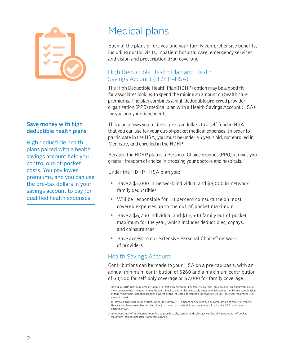

### Save money with high deductible health plans

High deductible health plans paired with a health savings account help you control out-of-pocket costs. You pay lower premiums, and you can use the pre-tax dollars in your savings account to pay for qualified health expenses.

# Medical plans

Each of the plans offers you and your family comprehensive benefits, including doctor visits, inpatient hospital care, emergency services, and vision and prescription drug coverage.

# High Deductible Health Plan and Health Savings Account (HDHP+HSA)

The High Deductible Health Plan(HDHP) option may be a good fit for associates looking to spend the minimum amount on health care premiums. The plan combines a high deductible preferred provider organization (PPO) medical plan with a Health Savings Account (HSA) for you and your dependents.

This plan allows you to direct pre-tax dollars to a self-funded HSA that you can use for your out-of-pocket medical expenses. In order to participate in the HSA, you must be under 65 years old, not enrolled in Medicare, and enrolled in the HDHP.

Because the HDHP plan is a Personal Choice product (PPO), it gives you greater freedom of choice in choosing your doctors and hospitals.

Under the HDHP+HSA plan you:

- Have a \$3,000 in-network individual and \$6,000 in-network family deductible<sup>1</sup>
- Will be responsible for 10 percent coinsurance on most covered expenses up to the out-of-pocket maximum
- Have a \$6,750 individual and \$13,500 family out-of-pocket maximum for the year, which includes deductibles, copays, and coinsurance²
- Have access to our extensive Personal Choice® network of providers

# Health Savings Account

Contributions can be made to your HSA on a pre-tax basis, with an annual minimum contribution of \$260 and a maximum contribution of \$3,500 for self-only coverage or \$7,000 for family coverage.

2 In-network, out-of-pocket maximum includes deductible, copays, and coinsurance. Out-of-network, out-of-pocket maximum includes deductible and coinsurance.

<sup>1</sup> Individual OOP maximum amounts apply for self-only coverage. For family coverage (an individual enrolled with one or more dependents), in-network benefits are subject to the family deductible amount which can be met by any combination of family members. Benefits are then covered at the indicated percentage for that service until the total maximum OOP amount is met.

In-network OOP maximum accumulation, the family OOP amount can be met by any combination of family members. However no family member will be subject to more than the individual amount within a family OOP maximum amount shown.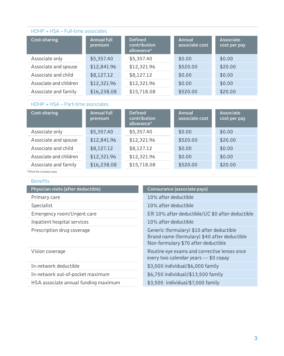## HDHP + HSA – Full-time associates

| Cost-sharing           | <b>Annual full</b><br>premium | <b>Defined</b><br>contribution<br>allowance* | Annual<br>associate cost | <b>Associate</b><br>cost per pay |
|------------------------|-------------------------------|----------------------------------------------|--------------------------|----------------------------------|
| Associate only         | \$5,357.40                    | \$5,357.40                                   | \$0.00                   | \$0.00                           |
| Associate and spouse   | \$12,841.96                   | \$12,321.96                                  | \$520.00                 | \$20.00                          |
| Associate and child    | \$8,127.12                    | \$8,127.12                                   | \$0.00                   | \$0.00                           |
| Associate and children | \$12,321.96                   | \$12,321.96                                  | \$0.00                   | \$0.00                           |
| Associate and family   | \$16,238.08                   | \$15,718.08                                  | \$520.00                 | \$20.00                          |

### HDHP + HSA – Part-time associates

| Cost-sharing           | <b>Annual full</b><br>premium | <b>Defined</b><br>contribution<br>allowance* | Annual<br>associate cost | <b>Associate</b><br>cost per pay |
|------------------------|-------------------------------|----------------------------------------------|--------------------------|----------------------------------|
| Associate only         | \$5,357.40                    | \$5,357.40                                   | \$0.00                   | \$0.00                           |
| Associate and spouse   | \$12,841.96                   | \$12,321.96                                  | \$520.00                 | \$20.00                          |
| Associate and child    | \$8,127.12                    | \$8,127.12                                   | \$0.00                   | \$0.00                           |
| Associate and children | \$12,321.96                   | \$12,321.96                                  | \$0.00                   | \$0.00                           |
| Associate and family   | \$16,238.08                   | \$15,718.08                                  | \$520.00                 | \$20.00                          |

| <b>Benefits</b>                      |                                                                                                                                  |
|--------------------------------------|----------------------------------------------------------------------------------------------------------------------------------|
| Physician visits (after deductible)  | Coinsurance (associate pays)                                                                                                     |
| Primary care                         | 10% after deductible                                                                                                             |
| Specialist                           | 10% after deductible                                                                                                             |
| Emergency room/Urgent care           | ER 10% after deductible/UC \$0 after deductible                                                                                  |
| Inpatient hospital services          | 10% after deductible                                                                                                             |
| Prescription drug coverage           | Generic (formulary) \$10 after deductible<br>Brand name (formulary) \$40 after deductible<br>Non-formulary \$70 after deductible |
| Vision coverage                      | Routine eye exams and corrective lenses once<br>every two calendar years - \$0 copay                                             |
| In-network deductible                | \$3,000 individual/\$6,000 family                                                                                                |
| In-network out-of-pocket maximum     | \$6,750 individual//\$13,500 family                                                                                              |
| HSA associate annual funding maximum | \$3,500 individual/\$7,000 family                                                                                                |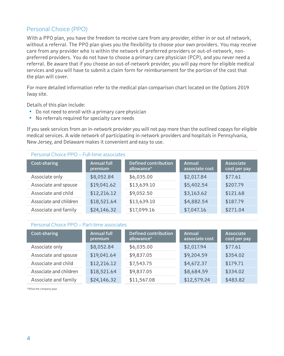# Personal Choice (PPO)

With a PPO plan, you have the freedom to receive care from any provider, either in or out of network, without a referral. The PPO plan gives you the flexibility to choose your own providers. You may receive care from any provider who is within the network of preferred providers or out-of-network, nonpreferred providers. You do not have to choose a primary care physician (PCP), and you never need a referral. Be aware that if you choose an out-of-network provider, you will pay more for eligible medical services and you will have to submit a claim form for reimbursement for the portion of the cost that the plan will cover.

For more detailed information refer to the medical plan comparison chart located on the Options 2019 Iway site.

Details of this plan include:

- Do not need to enroll with a primary care physician
- No referrals required for specialty care needs

If you seek services from an in-network provider you will not pay more than the outlined copays for eligible medical services. A wide network of participating in-network providers and hospitals in Pennsylvania, New Jersey, and Delaware makes it convenient and easy to use.

#### Personal Choice PPO – Full-time associates

| Cost-sharing           | <b>Annual full</b><br>premium | <b>Defined contribution</b><br>allowance* | Annual<br>associate cost | Associate<br>cost per pay |
|------------------------|-------------------------------|-------------------------------------------|--------------------------|---------------------------|
| Associate only         | \$8,052.84                    | \$6,035.00                                | \$2,017.84               | \$77.61                   |
| Associate and spouse   | \$19,041.62                   | \$13,639.10                               | \$5,402.54               | \$207.79                  |
| Associate and child    | \$12,216.12                   | \$9,052.50                                | \$3,163.62               | \$121.68                  |
| Associate and children | \$18,521.64                   | \$13,639.10                               | \$4,882.54               | \$187.79                  |
| Associate and family   | \$24,146.32                   | \$17,099.16                               | \$7,047.16               | \$271.04                  |

#### Personal Choice PPO – Part-time associates

| Cost-sharing           | <b>Annual full</b><br>premium | <b>Defined contribution</b><br>allowance* | Annual<br>associate cost | Associate<br>cost per pay |
|------------------------|-------------------------------|-------------------------------------------|--------------------------|---------------------------|
| Associate only         | \$8,052.84                    | \$6,035.00                                | \$2,017.94               | \$77.61                   |
| Associate and spouse   | \$19,041.64                   | \$9,837.05                                | \$9,204.59               | \$354.02                  |
| Associate and child    | \$12,216.12                   | \$7,543.75                                | \$4,672.37               | \$179.71                  |
| Associate and children | \$18,521.64                   | \$9,837.05                                | \$8,684.59               | \$334.02                  |
| Associate and family   | \$24,146.32                   | \$11,567.08                               | \$12,579.24              | \$483.82                  |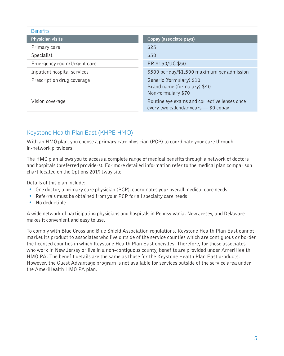Benefits

| <b>Belletius</b>            |                                                                                      |
|-----------------------------|--------------------------------------------------------------------------------------|
| Physician visits            | Copay (associate pays)                                                               |
| Primary care                | \$25                                                                                 |
| Specialist                  | \$50                                                                                 |
| Emergency room/Urgent care  | ER \$150/UC \$50                                                                     |
| Inpatient hospital services | \$500 per day/\$1,500 maximum per admission                                          |
| Prescription drug coverage  | Generic (formulary) \$10<br>Brand name (formulary) \$40<br>Non-formulary \$70        |
| Vision coverage             | Routine eye exams and corrective lenses once<br>every two calendar years - \$0 copay |

# Keystone Health Plan East (KHPE HMO)

With an HMO plan, you choose a primary care physician (PCP) to coordinate your care through in-network providers.

The HMO plan allows you to access a complete range of medical benefits through a network of doctors and hospitals (preferred providers). For more detailed information refer to the medical plan comparison chart located on the Options 2019 Iway site.

Details of this plan include:

- One doctor, a primary care physician (PCP), coordinates your overall medical care needs
- Referrals must be obtained from your PCP for all specialty care needs
- No deductible

A wide network of participating physicians and hospitals in Pennsylvania, New Jersey, and Delaware makes it convenient and easy to use.

To comply with Blue Cross and Blue Shield Association regulations, Keystone Health Plan East cannot market its product to associates who live outside of the service counties which are contiguous or border the licensed counties in which Keystone Health Plan East operates. Therefore, for those associates who work in New Jersey or live in a non-contiguous county, benefits are provided under AmeriHealth HMO PA. The benefit details are the same as those for the Keystone Health Plan East products. However, the Guest Advantage program is not available for services outside of the service area under the AmeriHealth HMO PA plan.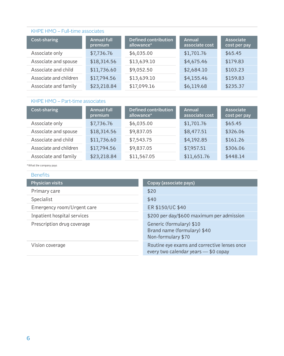#### KHPE HMO – Full-time associates

| Cost-sharing           | <b>Annual full</b><br>premium | Defined contribution<br>allowance* | Annual<br>associate cost | Associate<br>cost per pay |
|------------------------|-------------------------------|------------------------------------|--------------------------|---------------------------|
| Associate only         | \$7,736.76                    | \$6,035.00                         | \$1,701.76               | \$65.45                   |
| Associate and spouse   | \$18,314.56                   | \$13,639.10                        | \$4,675.46               | \$179.83                  |
| Associate and child    | \$11,736.60                   | \$9,052.50                         | \$2,684.10               | \$103.23                  |
| Associate and children | \$17,794.56                   | \$13,639.10                        | \$4,155.46               | \$159.83                  |
| Associate and family   | \$23,218.84                   | \$17,099.16                        | \$6,119.68               | \$235.37                  |

### KHPE HMO – Part-time associates

| Cost-sharing           | <b>Annual full</b><br>premium | Defined contribution<br>allowance* | Annual<br>associate cost | Associate<br>cost per pay |
|------------------------|-------------------------------|------------------------------------|--------------------------|---------------------------|
| Associate only         | \$7,736.76                    | \$6,035.00                         | \$1,701.76               | \$65.45                   |
| Associate and spouse   | \$18,314.56                   | \$9,837.05                         | \$8,477.51               | \$326.06                  |
| Associate and child    | \$11,736.60                   | \$7,543.75                         | \$4,192.85               | \$161.26                  |
| Associate and children | \$17,794.56                   | \$9,837.05                         | \$7,957.51               | \$306.06                  |
| Associate and family   | \$23,218.84                   | \$11,567.05                        | \$11,651.76              | \$448.14                  |

| <b>Benefits</b>             |                                                                                      |
|-----------------------------|--------------------------------------------------------------------------------------|
| <b>Physician visits</b>     | Copay (associate pays)                                                               |
| Primary care                | \$20                                                                                 |
| Specialist                  | \$40                                                                                 |
| Emergency room/Urgent care  | ER \$150/UC \$40                                                                     |
| Inpatient hospital services | \$200 per day/\$600 maximum per admission                                            |
| Prescription drug coverage  | Generic (formulary) \$10<br>Brand name (formulary) \$40<br>Non-formulary \$70        |
| Vision coverage             | Routine eye exams and corrective lenses once<br>every two calendar years - \$0 copay |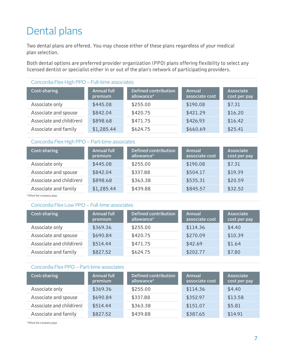# Dental plans

Two dental plans are offered. You may choose either of these plans regardless of your medical plan selection.

Both dental options are preferred provider organization (PPO) plans offering flexibility to select any licensed dentist or specialist either in or out of the plan's network of participating providers.

| Concordia Flex High PPO - Full-time associates |                               |                                    |                          |                           |  |
|------------------------------------------------|-------------------------------|------------------------------------|--------------------------|---------------------------|--|
| <b>Cost-sharing</b>                            | <b>Annual full</b><br>premium | Defined contribution<br>allowance* | Annual<br>associate cost | Associate<br>cost per pay |  |
| Associate only                                 | \$445.08                      | \$255.00                           | \$190.08                 | \$7.31                    |  |
| Associate and spouse                           | \$842.04                      | \$420.75                           | \$421.29                 | \$16.20                   |  |
| Associate and child(ren)                       | \$898.68                      | \$471.75                           | \$426.93                 | \$16.42                   |  |
| Associate and family                           | \$1,285.44                    | \$624.75                           | \$660.69                 | \$25.41                   |  |

#### Concordia Flex High PPO – Part-time associates

| Cost-sharing             | <b>Annual full</b><br>premium | <b>Defined contribution</b><br>allowance* | <b>Annual</b><br>associate cost | Associate<br>cost per pay |
|--------------------------|-------------------------------|-------------------------------------------|---------------------------------|---------------------------|
| Associate only           | \$445.08                      | \$255.00                                  | \$190.08                        | \$7.31                    |
| Associate and spouse     | \$842.04                      | \$337.88                                  | \$504.17                        | \$19.39                   |
| Associate and child(ren) | \$898.68                      | \$363.38                                  | \$535.31                        | \$20.59                   |
| Associate and family     | \$1,285.44                    | \$439.88                                  | \$845.57                        | \$32.52                   |

\*What the company pays

#### Concordia Flex Low PPO – Full-time associates

| Cost-sharing             | <b>Annual full</b><br>premium | Defined contribution<br>allowance* | Annual<br>associate cost | Associate<br>cost per pay |
|--------------------------|-------------------------------|------------------------------------|--------------------------|---------------------------|
| Associate only           | \$369.36                      | \$255.00                           | \$114.36                 | \$4.40                    |
| Associate and spouse     | \$690.84                      | \$420.75                           | \$270.09                 | \$10.39                   |
| Associate and child(ren) | \$514.44                      | \$471.75                           | \$42.69                  | \$1.64                    |
| Associate and family     | \$827.52                      | \$624.75                           | \$202.77                 | \$7.80                    |

#### Concordia Flex PPO – Part-time associates

| Cost-sharing             | <b>Annual full</b><br>premium | Defined contribution<br>allowance* | Annual<br>associate cost | Associate<br>cost per pay |
|--------------------------|-------------------------------|------------------------------------|--------------------------|---------------------------|
| Associate only           | \$369.36                      | \$255.00                           | \$114.36                 | \$4.40                    |
| Associate and spouse     | \$690.84                      | \$337.88                           | \$352.97                 | \$13.58                   |
| Associate and child(ren) | \$514.44                      | \$363.38                           | \$151.07                 | \$5.81                    |
| Associate and family     | \$827.52                      | \$439.88                           | \$387.65                 | \$14.91                   |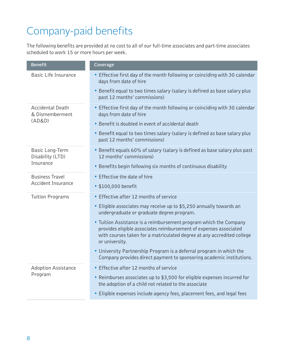# Company-paid benefits

The following benefits are provided at no cost to all of our full-time associates and part-time associates scheduled to work 15 or more hours per week.

| <b>Benefit</b>                                   | Coverage                                                                                                                                                                                                                           |  |  |
|--------------------------------------------------|------------------------------------------------------------------------------------------------------------------------------------------------------------------------------------------------------------------------------------|--|--|
| <b>Basic Life Insurance</b>                      | • Effective first day of the month following or coinciding with 30 calendar<br>days from date of hire                                                                                                                              |  |  |
|                                                  | • Benefit equal to two times salary (salary is defined as base salary plus<br>past 12 months' commissions)                                                                                                                         |  |  |
| <b>Accidental Death</b><br>& Dismemberment       | • Effective first day of the month following or coinciding with 30 calendar<br>days from date of hire                                                                                                                              |  |  |
| (AD&D)                                           | • Benefit is doubled in event of accidental death                                                                                                                                                                                  |  |  |
|                                                  | • Benefit equal to two times salary (salary is defined as base salary plus<br>past 12 months' commissions)                                                                                                                         |  |  |
| Basic Long-Term<br>Disability (LTD)<br>Insurance | • Benefit equals 60% of salary (salary is defined as base salary plus past<br>12 months' commissions)                                                                                                                              |  |  |
|                                                  | • Benefits begin following six months of continuous disability                                                                                                                                                                     |  |  |
| <b>Business Travel</b>                           | • Effective the date of hire                                                                                                                                                                                                       |  |  |
| <b>Accident Insurance</b>                        | • \$100,000 benefit                                                                                                                                                                                                                |  |  |
| <b>Tuition Programs</b>                          | • Effective after 12 months of service                                                                                                                                                                                             |  |  |
|                                                  | • Eligible associates may receive up to \$5,250 annually towards an<br>undergraduate or graduate degree program.                                                                                                                   |  |  |
|                                                  | • Tuition Assistance is a reimbursement program which the Company<br>provides eligible associates reimbursement of expenses associated<br>with courses taken for a matriculated degree at any accredited college<br>or university. |  |  |
|                                                  | • University Partnership Program is a deferral program in which the<br>Company provides direct payment to sponsoring academic institutions.                                                                                        |  |  |
| Adoption Assistance<br>Program                   | • Effective after 12 months of service                                                                                                                                                                                             |  |  |
|                                                  | • Reimburses associates up to \$3,500 for eligible expenses incurred for<br>the adoption of a child not related to the associate                                                                                                   |  |  |
|                                                  | • Eligible expenses include agency fees, placement fees, and legal fees                                                                                                                                                            |  |  |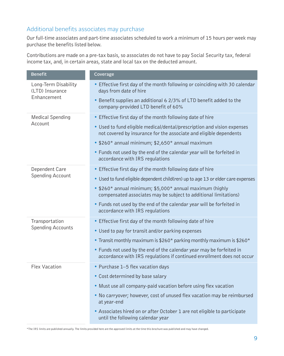# Additional benefits associates may purchase

Our full-time associates and part-time associates scheduled to work a minimum of 15 hours per week may purchase the benefits listed below.

Contributions are made on a pre-tax basis, so associates do not have to pay Social Security tax, federal income tax, and, in certain areas, state and local tax on the deducted amount.

| <b>Benefit</b>                                         | Coverage                                                                                                                                       |  |
|--------------------------------------------------------|------------------------------------------------------------------------------------------------------------------------------------------------|--|
| Long-Term Disability<br>(LTD) Insurance<br>Enhancement | • Effective first day of the month following or coinciding with 30 calendar<br>days from date of hire                                          |  |
|                                                        | • Benefit supplies an additional 6 2/3% of LTD benefit added to the<br>company-provided LTD benefit of 60%                                     |  |
| <b>Medical Spending</b>                                | • Effective first day of the month following date of hire                                                                                      |  |
| Account                                                | • Used to fund eligible medical/dental/prescription and vision expenses<br>not covered by insurance for the associate and eligible dependents  |  |
|                                                        | • \$260* annual minimum; \$2,650* annual maximum                                                                                               |  |
|                                                        | • Funds not used by the end of the calendar year will be forfeited in<br>accordance with IRS regulations                                       |  |
| Dependent Care                                         | • Effective first day of the month following date of hire                                                                                      |  |
| <b>Spending Account</b>                                | • Used to fund eligible dependent child(ren) up to age 13 or elder care expenses                                                               |  |
|                                                        | • \$260* annual minimum; \$5,000* annual maximum (highly<br>compensated associates may be subject to additional limitations)                   |  |
|                                                        | • Funds not used by the end of the calendar year will be forfeited in<br>accordance with IRS regulations                                       |  |
| Transportation                                         | • Effective first day of the month following date of hire                                                                                      |  |
| <b>Spending Accounts</b>                               | • Used to pay for transit and/or parking expenses                                                                                              |  |
|                                                        | • Transit monthly maximum is \$260* parking monthly maximum is \$260*                                                                          |  |
|                                                        | • Funds not used by the end of the calendar year may be forfeited in<br>accordance with IRS regulations if continued enrollment does not occur |  |
| <b>Flex Vacation</b>                                   | • Purchase 1-5 flex vacation days                                                                                                              |  |
|                                                        | • Cost determined by base salary                                                                                                               |  |
|                                                        | • Must use all company-paid vacation before using flex vacation                                                                                |  |
|                                                        | . No carryover; however, cost of unused flex vacation may be reimbursed<br>at year-end                                                         |  |
|                                                        | • Associates hired on or after October 1 are not eligible to participate<br>until the following calendar year                                  |  |

\*The IRS limits are published annually. The limits provided here are the approved limits at the time this brochure was published and may have changed.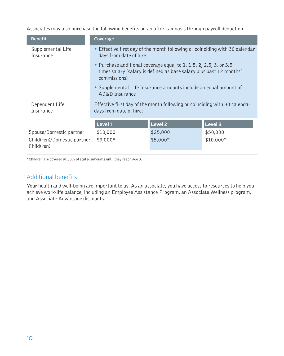Associates may also purchase the following benefits on an after-tax basis through payroll deduction.

| <b>Benefit</b>                            | Coverage                                                                                                                                                 |                |                |  |
|-------------------------------------------|----------------------------------------------------------------------------------------------------------------------------------------------------------|----------------|----------------|--|
| Supplemental Life<br>Insurance            | • Effective first day of the month following or coinciding with 30 calendar<br>days from date of hire                                                    |                |                |  |
|                                           | • Purchase additional coverage equal to 1, 1.5, 2, 2.5, 3, or 3.5<br>times salary (salary is defined as base salary plus past 12 months'<br>commissions) |                |                |  |
|                                           | • Supplemental Life Insurance amounts include an equal amount of<br>AD&D Insurance                                                                       |                |                |  |
| Dependent Life<br>Insurance               | Effective first day of the month following or coinciding with 30 calendar<br>days from date of hire:                                                     |                |                |  |
|                                           | Level 1                                                                                                                                                  | <b>Level 2</b> | <b>Level 3</b> |  |
| Spouse/Domestic partner                   | \$10,000                                                                                                                                                 | \$25,000       | \$50,000       |  |
| Child(ren)/Domestic partner<br>Child(ren) | $$3,000*$                                                                                                                                                | \$5,000*       | $$10,000*$     |  |

\*Children are covered at 50% of stated amounts until they reach age 3.

### Additional benefits

Your health and well-being are important to us. As an associate, you have access to resources to help you achieve work-life balance, including an Employee Assistance Program, an Associate Wellness program, and Associate Advantage discounts.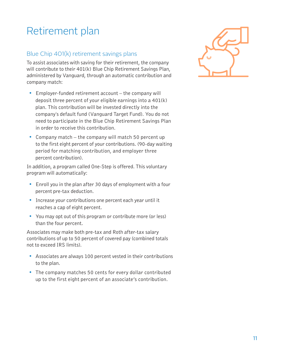# Retirement plan

# Blue Chip 401(k) retirement savings plans

To assist associates with saving for their retirement, the company will contribute to their 401(k) Blue Chip Retirement Savings Plan, administered by Vanguard, through an automatic contribution and company match:

- Employer-funded retirement account the company will deposit three percent of your eligible earnings into a 401(k) plan. This contribution will be invested directly into the company's default fund (Vanguard Target Fund). You do not need to participate in the Blue Chip Retirement Savings Plan in order to receive this contribution.
- Company match the company will match 50 percent up to the first eight percent of your contributions. (90-day waiting period for matching contribution, and employer three percent contribution).

In addition, a program called One-Step is offered. This voluntary program will automatically:

- Enroll you in the plan after 30 days of employment with a four percent pre-tax deduction.
- Increase your contributions one percent each year until it reaches a cap of eight percent.
- You may opt out of this program or contribute more (or less) than the four percent.

Associates may make both pre-tax and Roth after-tax salary contributions of up to 50 percent of covered pay (combined totals not to exceed IRS limits).

- Associates are always 100 percent vested in their contributions to the plan.
- The company matches 50 cents for every dollar contributed up to the first eight percent of an associate's contribution.

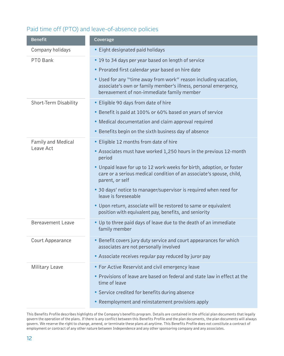# Paid time off (PTO) and leave-of-absence policies

| <b>Benefit</b>        | Coverage                                                                                                                                                                         |  |  |
|-----------------------|----------------------------------------------------------------------------------------------------------------------------------------------------------------------------------|--|--|
| Company holidays      | • Eight designated paid holidays                                                                                                                                                 |  |  |
| PTO Bank              | • 19 to 34 days per year based on length of service                                                                                                                              |  |  |
|                       | • Prorated first calendar year based on hire date                                                                                                                                |  |  |
|                       | • Used for any "time away from work" reason including vacation,<br>associate's own or family member's illness, personal emergency,<br>bereavement of non-immediate family member |  |  |
| Short-Term Disability | • Eligible 90 days from date of hire                                                                                                                                             |  |  |
|                       | • Benefit is paid at 100% or 60% based on years of service                                                                                                                       |  |  |
|                       | • Medical documentation and claim approval required                                                                                                                              |  |  |
|                       | • Benefits begin on the sixth business day of absence                                                                                                                            |  |  |
| Family and Medical    | • Eligible 12 months from date of hire                                                                                                                                           |  |  |
| Leave Act             | • Associates must have worked 1,250 hours in the previous 12-month<br>period                                                                                                     |  |  |
|                       | • Unpaid leave for up to 12 work weeks for birth, adoption, or foster<br>care or a serious medical condition of an associate's spouse, child,<br>parent, or self                 |  |  |
|                       | • 30 days' notice to manager/supervisor is required when need for<br>leave is foreseeable                                                                                        |  |  |
|                       | • Upon return, associate will be restored to same or equivalent<br>position with equivalent pay, benefits, and seniority                                                         |  |  |
| Bereavement Leave     | . Up to three paid days of leave due to the death of an immediate<br>family member                                                                                               |  |  |
| Court Appearance      | • Benefit covers jury duty service and court appearances for which<br>associates are not personally involved                                                                     |  |  |
|                       | • Associate receives regular pay reduced by juror pay                                                                                                                            |  |  |
| Military Leave        | • For Active Reservist and civil emergency leave                                                                                                                                 |  |  |
|                       | • Provisions of leave are based on federal and state law in effect at the<br>time of leave                                                                                       |  |  |
|                       | • Service credited for benefits during absence                                                                                                                                   |  |  |
|                       | • Reemployment and reinstatement provisions apply                                                                                                                                |  |  |

This Benefits Profile describes highlights of the Company's benefits program. Details are contained in the official plan documents that legally govern the operation of the plans. If there is any conflict between this Benefits Profile and the plan documents, the plan documents will always govern. We reserve the right to change, amend, or terminate these plans at anytime. This Benefits Profile does not constitute a contract of employment or contract of any other nature between Independence and any other sponsoring company and any associates.